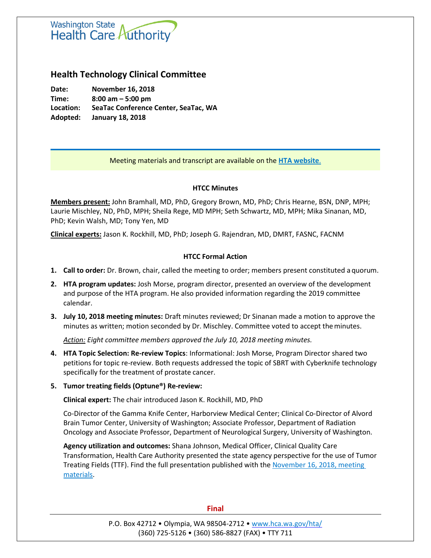# **Washington State** Health Care Authority

# **Health Technology Clinical Committee**

**Date: November 16, 2018 Time: 8:00 am – 5:00 pm Location: SeaTac Conference Center, SeaTac, WA Adopted: January 18, 2018**

Meeting materials and transcript are available on the **[HTA website](http://www.hca.wa.gov/about-hca/health-technology-assessment/meetings-and-materials)**.

# **HTCC Minutes**

**Members present:** John Bramhall, MD, PhD, Gregory Brown, MD, PhD; Chris Hearne, BSN, DNP, MPH; Laurie Mischley, ND, PhD, MPH; Sheila Rege, MD MPH; Seth Schwartz, MD, MPH; Mika Sinanan, MD, PhD; Kevin Walsh, MD; Tony Yen, MD

**Clinical experts:** Jason K. Rockhill, MD, PhD; Joseph G. Rajendran, MD, DMRT, FASNC, FACNM

# **HTCC Formal Action**

- **1. Call to order:** Dr. Brown, chair, called the meeting to order; members present constituted a quorum.
- **2. HTA program updates:** Josh Morse, program director, presented an overview of the development and purpose of the HTA program. He also provided information regarding the 2019 committee calendar.
- **3. July 10, 2018 meeting minutes:** Draft minutes reviewed; Dr Sinanan made a motion to approve the minutes as written; motion seconded by Dr. Mischley. Committee voted to accept theminutes.

*Action: Eight committee members approved the July 10, 2018 meeting minutes.*

- **4. HTA Topic Selection: Re-review Topics**: Informational: Josh Morse, Program Director shared two petitions for topic re-review. Both requests addressed the topic of SBRT with Cyberknife technology specifically for the treatment of prostate cancer.
- **5. Tumor treating fields (Optune®) Re-review:**

**Clinical expert:** The chair introduced Jason K. Rockhill, MD, PhD

Co-Director of the Gamma Knife Center, Harborview Medical Center; Clinical Co-Director of Alvord Brain Tumor Center, University of Washington; Associate Professor, Department of Radiation Oncology and Associate Professor, Department of Neurological Surgery, University of Washington.

**Agency utilization and outcomes:** Shana Johnson, Medical Officer, Clinical Quality Care Transformation, Health Care Authority presented the state agency perspective for the use of Tumor Treating Fields (TTF). Find the full presentation published with the November 16, 2018, meeting [materials.](http://www.hca.wa.gov/about-hca/health-technology-assessment/meetings-and-materials)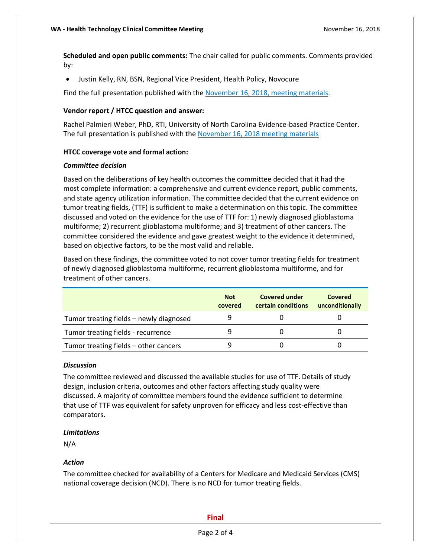**Scheduled and open public comments:** The chair called for public comments. Comments provided by:

Justin Kelly, RN, BSN, Regional Vice President, Health Policy, Novocure

Find the full presentation published with th[e November 16, 2018, meeting materials.](http://www.hca.wa.gov/about-hca/health-technology-assessment/meetings-and-materials)

### **Vendor report / HTCC question and answer:**

Rachel Palmieri Weber, PhD, RTI, University of North Carolina Evidence-based Practice Center. The full presentation is published with the [November 16, 2018 meeting materials](http://www.hca.wa.gov/about-hca/health-technology-assessment/meetings-and-materials)

#### **HTCC coverage vote and formal action:**

#### *Committee decision*

Based on the deliberations of key health outcomes the committee decided that it had the most complete information: a comprehensive and current evidence report, public comments, and state agency utilization information. The committee decided that the current evidence on tumor treating fields, (TTF) is sufficient to make a determination on this topic. The committee discussed and voted on the evidence for the use of TTF for: 1) newly diagnosed glioblastoma multiforme; 2) recurrent glioblastoma multiforme; and 3) treatment of other cancers. The committee considered the evidence and gave greatest weight to the evidence it determined, based on objective factors, to be the most valid and reliable.

Based on these findings, the committee voted to not cover tumor treating fields for treatment of newly diagnosed glioblastoma multiforme, recurrent glioblastoma multiforme, and for treatment of other cancers.

|                                         | <b>Not</b><br>covered | <b>Covered under</b><br>certain conditions | Covered<br>unconditionally |
|-----------------------------------------|-----------------------|--------------------------------------------|----------------------------|
| Tumor treating fields – newly diagnosed |                       |                                            |                            |
| Tumor treating fields - recurrence      |                       |                                            |                            |
| Tumor treating fields – other cancers   |                       |                                            |                            |

#### *Discussion*

The committee reviewed and discussed the available studies for use of TTF. Details of study design, inclusion criteria, outcomes and other factors affecting study quality were discussed. A majority of committee members found the evidence sufficient to determine that use of TTF was equivalent for safety unproven for efficacy and less cost-effective than comparators.

#### *Limitations*

N/A

### *Action*

The committee checked for availability of a Centers for Medicare and Medicaid Services (CMS) national coverage decision (NCD). There is no NCD for tumor treating fields.

#### **Final**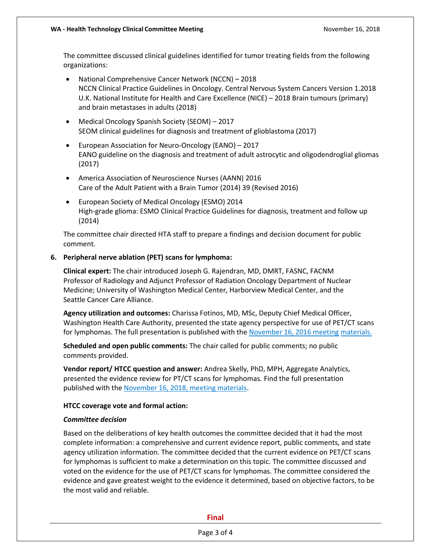The committee discussed clinical guidelines identified for tumor treating fields from the following organizations:

- National Comprehensive Cancer Network (NCCN) 2018 NCCN Clinical Practice Guidelines in Oncology. Central Nervous System Cancers Version 1.2018 U.K. National Institute for Health and Care Excellence (NICE) – 2018 Brain tumours (primary) and brain metastases in adults (2018)
- Medical Oncology Spanish Society (SEOM) 2017 SEOM clinical guidelines for diagnosis and treatment of glioblastoma (2017)
- European Association for Neuro-Oncology (EANO) 2017 EANO guideline on the diagnosis and treatment of adult astrocytic and oligodendroglial gliomas (2017)
- America Association of Neuroscience Nurses (AANN) 2016 Care of the Adult Patient with a Brain Tumor (2014) 39 (Revised 2016)
- European Society of Medical Oncology (ESMO) 2014 High-grade glioma: ESMO Clinical Practice Guidelines for diagnosis, treatment and follow up (2014)

The committee chair directed HTA staff to prepare a findings and decision document for public comment.

# **6. Peripheral nerve ablation (PET) scans for lymphoma:**

**Clinical expert:** The chair introduced Joseph G. Rajendran, MD, DMRT, FASNC, FACNM Professor of Radiology and Adjunct Professor of Radiation Oncology Department of Nuclear Medicine; University of Washington Medical Center, Harborview Medical Center, and the Seattle Cancer Care Alliance.

**Agency utilization and outcomes:** Charissa Fotinos, MD, MSc, Deputy Chief Medical Officer, Washington Health Care Authority, presented the state agency perspective for use of PET/CT scans for lymphomas. The full presentation is published with th[e November 16, 2016 meeting](http://www.hca.wa.gov/about-hca/health-technology-assessment/meetings-and-materials) [materials.](http://www.hca.wa.gov/about-hca/health-technology-assessment/meetings-and-materials)

**Scheduled and open public comments:** The chair called for public comments; no public comments provided.

**Vendor report/ HTCC question and answer:** Andrea Skelly, PhD, MPH, Aggregate Analytics, presented the evidence review for PT/CT scans for lymphomas*.* Find the full presentation published with the [November 16, 2018, meeting materials.](http://www.hca.wa.gov/about-hca/health-technology-assessment/meetings-and-materials)

### **HTCC coverage vote and formal action:**

### *Committee decision*

Based on the deliberations of key health outcomes the committee decided that it had the most complete information: a comprehensive and current evidence report, public comments, and state agency utilization information. The committee decided that the current evidence on PET/CT scans for lymphomas is sufficient to make a determination on this topic. The committee discussed and voted on the evidence for the use of PET/CT scans for lymphomas. The committee considered the evidence and gave greatest weight to the evidence it determined, based on objective factors, to be the most valid and reliable.

**Final**